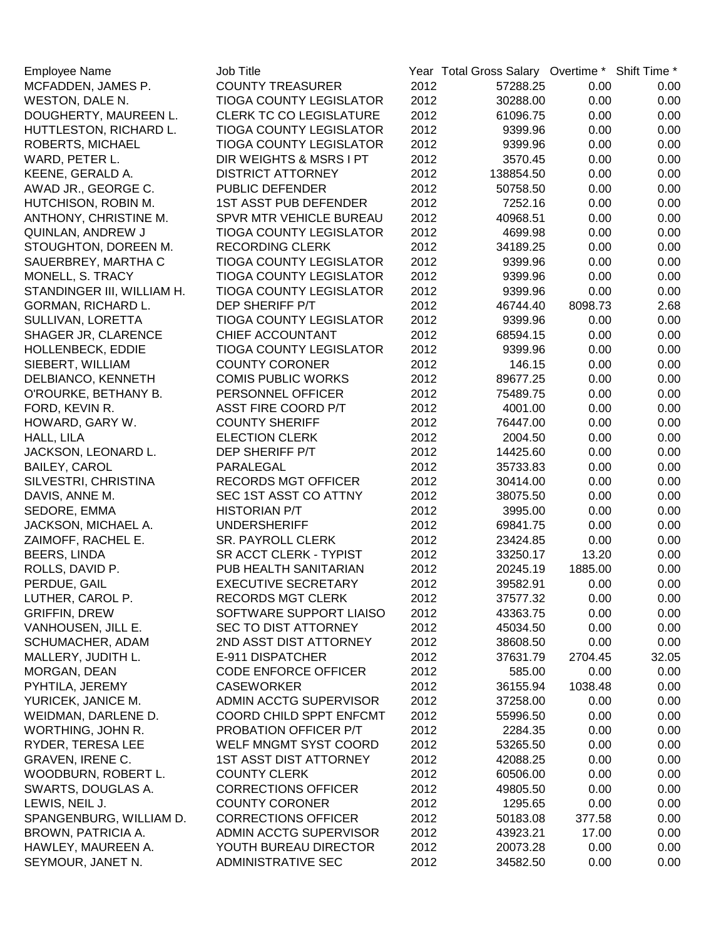| <b>Employee Name</b>       | <b>Job Title</b>               |      | Year Total Gross Salary Overtime * Shift Time * |         |       |
|----------------------------|--------------------------------|------|-------------------------------------------------|---------|-------|
| MCFADDEN, JAMES P.         | <b>COUNTY TREASURER</b>        | 2012 | 57288.25                                        | 0.00    | 0.00  |
| <b>WESTON, DALE N.</b>     | <b>TIOGA COUNTY LEGISLATOR</b> | 2012 | 30288.00                                        | 0.00    | 0.00  |
| DOUGHERTY, MAUREEN L.      | <b>CLERK TC CO LEGISLATURE</b> | 2012 | 61096.75                                        | 0.00    | 0.00  |
| HUTTLESTON, RICHARD L.     | <b>TIOGA COUNTY LEGISLATOR</b> | 2012 | 9399.96                                         | 0.00    | 0.00  |
| <b>ROBERTS, MICHAEL</b>    | <b>TIOGA COUNTY LEGISLATOR</b> | 2012 | 9399.96                                         | 0.00    | 0.00  |
| WARD, PETER L.             | DIR WEIGHTS & MSRS I PT        | 2012 | 3570.45                                         | 0.00    | 0.00  |
| KEENE, GERALD A.           | <b>DISTRICT ATTORNEY</b>       | 2012 | 138854.50                                       | 0.00    | 0.00  |
| AWAD JR., GEORGE C.        | PUBLIC DEFENDER                | 2012 | 50758.50                                        | 0.00    | 0.00  |
| HUTCHISON, ROBIN M.        | <b>1ST ASST PUB DEFENDER</b>   | 2012 | 7252.16                                         | 0.00    | 0.00  |
| ANTHONY, CHRISTINE M.      | SPVR MTR VEHICLE BUREAU        | 2012 | 40968.51                                        | 0.00    | 0.00  |
| QUINLAN, ANDREW J          | <b>TIOGA COUNTY LEGISLATOR</b> | 2012 | 4699.98                                         | 0.00    | 0.00  |
| STOUGHTON, DOREEN M.       | <b>RECORDING CLERK</b>         | 2012 | 34189.25                                        | 0.00    | 0.00  |
| SAUERBREY, MARTHA C        | <b>TIOGA COUNTY LEGISLATOR</b> | 2012 | 9399.96                                         | 0.00    | 0.00  |
| MONELL, S. TRACY           | <b>TIOGA COUNTY LEGISLATOR</b> | 2012 | 9399.96                                         | 0.00    | 0.00  |
| STANDINGER III, WILLIAM H. | <b>TIOGA COUNTY LEGISLATOR</b> | 2012 | 9399.96                                         | 0.00    | 0.00  |
| GORMAN, RICHARD L.         | DEP SHERIFF P/T                | 2012 | 46744.40                                        | 8098.73 | 2.68  |
| SULLIVAN, LORETTA          | <b>TIOGA COUNTY LEGISLATOR</b> | 2012 | 9399.96                                         | 0.00    | 0.00  |
| SHAGER JR, CLARENCE        | CHIEF ACCOUNTANT               | 2012 | 68594.15                                        | 0.00    | 0.00  |
| HOLLENBECK, EDDIE          | <b>TIOGA COUNTY LEGISLATOR</b> | 2012 | 9399.96                                         | 0.00    | 0.00  |
| SIEBERT, WILLIAM           | <b>COUNTY CORONER</b>          | 2012 | 146.15                                          | 0.00    | 0.00  |
|                            | <b>COMIS PUBLIC WORKS</b>      | 2012 | 89677.25                                        | 0.00    | 0.00  |
| DELBIANCO, KENNETH         | PERSONNEL OFFICER              | 2012 | 75489.75                                        | 0.00    | 0.00  |
| O'ROURKE, BETHANY B.       | ASST FIRE COORD P/T            | 2012 |                                                 |         | 0.00  |
| FORD, KEVIN R.             |                                |      | 4001.00                                         | 0.00    |       |
| HOWARD, GARY W.            | <b>COUNTY SHERIFF</b>          | 2012 | 76447.00                                        | 0.00    | 0.00  |
| HALL, LILA                 | <b>ELECTION CLERK</b>          | 2012 | 2004.50                                         | 0.00    | 0.00  |
| JACKSON, LEONARD L.        | DEP SHERIFF P/T                | 2012 | 14425.60                                        | 0.00    | 0.00  |
| <b>BAILEY, CAROL</b>       | PARALEGAL                      | 2012 | 35733.83                                        | 0.00    | 0.00  |
| SILVESTRI, CHRISTINA       | <b>RECORDS MGT OFFICER</b>     | 2012 | 30414.00                                        | 0.00    | 0.00  |
| DAVIS, ANNE M.             | SEC 1ST ASST CO ATTNY          | 2012 | 38075.50                                        | 0.00    | 0.00  |
| SEDORE, EMMA               | <b>HISTORIAN P/T</b>           | 2012 | 3995.00                                         | 0.00    | 0.00  |
| JACKSON, MICHAEL A.        | <b>UNDERSHERIFF</b>            | 2012 | 69841.75                                        | 0.00    | 0.00  |
| ZAIMOFF, RACHEL E.         | SR. PAYROLL CLERK              | 2012 | 23424.85                                        | 0.00    | 0.00  |
| <b>BEERS, LINDA</b>        | SR ACCT CLERK - TYPIST         | 2012 | 33250.17                                        | 13.20   | 0.00  |
| ROLLS, DAVID P.            | PUB HEALTH SANITARIAN          | 2012 | 20245.19                                        | 1885.00 | 0.00  |
| PERDUE, GAIL               | <b>EXECUTIVE SECRETARY</b>     | 2012 | 39582.91                                        | 0.00    | 0.00  |
| LUTHER, CAROL P.           | <b>RECORDS MGT CLERK</b>       | 2012 | 37577.32                                        | 0.00    | 0.00  |
| <b>GRIFFIN, DREW</b>       | SOFTWARE SUPPORT LIAISO        | 2012 | 43363.75                                        | 0.00    | 0.00  |
| VANHOUSEN, JILL E.         | SEC TO DIST ATTORNEY           | 2012 | 45034.50                                        | 0.00    | 0.00  |
| SCHUMACHER, ADAM           | 2ND ASST DIST ATTORNEY         | 2012 | 38608.50                                        | 0.00    | 0.00  |
| MALLERY, JUDITH L.         | E-911 DISPATCHER               | 2012 | 37631.79                                        | 2704.45 | 32.05 |
| MORGAN, DEAN               | <b>CODE ENFORCE OFFICER</b>    | 2012 | 585.00                                          | 0.00    | 0.00  |
| PYHTILA, JEREMY            | <b>CASEWORKER</b>              | 2012 | 36155.94                                        | 1038.48 | 0.00  |
| YURICEK, JANICE M.         | ADMIN ACCTG SUPERVISOR         | 2012 | 37258.00                                        | 0.00    | 0.00  |
| WEIDMAN, DARLENE D.        | COORD CHILD SPPT ENFCMT        | 2012 | 55996.50                                        | 0.00    | 0.00  |
| WORTHING, JOHN R.          | PROBATION OFFICER P/T          | 2012 | 2284.35                                         | 0.00    | 0.00  |
| RYDER, TERESA LEE          | WELF MNGMT SYST COORD          | 2012 | 53265.50                                        | 0.00    | 0.00  |
| GRAVEN, IRENE C.           | <b>1ST ASST DIST ATTORNEY</b>  | 2012 | 42088.25                                        | 0.00    | 0.00  |
| WOODBURN, ROBERT L.        | <b>COUNTY CLERK</b>            | 2012 | 60506.00                                        | 0.00    | 0.00  |
| SWARTS, DOUGLAS A.         | <b>CORRECTIONS OFFICER</b>     | 2012 | 49805.50                                        | 0.00    | 0.00  |
| LEWIS, NEIL J.             | <b>COUNTY CORONER</b>          | 2012 | 1295.65                                         | 0.00    | 0.00  |
| SPANGENBURG, WILLIAM D.    | <b>CORRECTIONS OFFICER</b>     | 2012 | 50183.08                                        | 377.58  | 0.00  |
| BROWN, PATRICIA A.         | ADMIN ACCTG SUPERVISOR         | 2012 | 43923.21                                        | 17.00   | 0.00  |
| HAWLEY, MAUREEN A.         | YOUTH BUREAU DIRECTOR          | 2012 | 20073.28                                        | 0.00    | 0.00  |
| SEYMOUR, JANET N.          | ADMINISTRATIVE SEC             | 2012 | 34582.50                                        | 0.00    | 0.00  |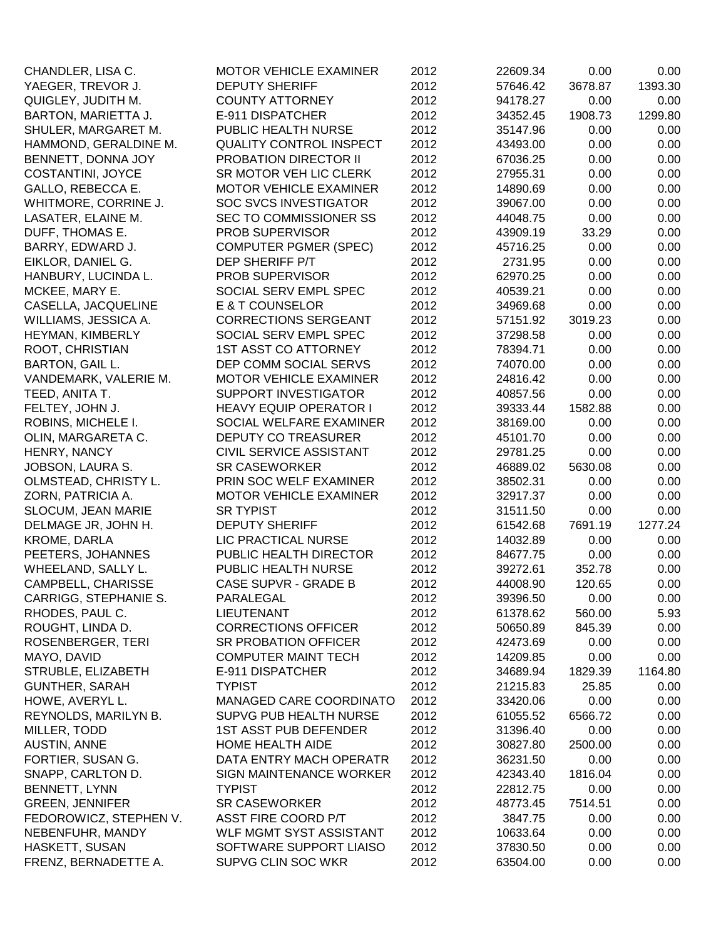| CHANDLER, LISA C.                               | <b>MOTOR VEHICLE EXAMINER</b>  | 2012 | 22609.34             | 0.00    | 0.00    |
|-------------------------------------------------|--------------------------------|------|----------------------|---------|---------|
| YAEGER, TREVOR J.                               | <b>DEPUTY SHERIFF</b>          | 2012 | 57646.42             | 3678.87 | 1393.30 |
| QUIGLEY, JUDITH M.                              | <b>COUNTY ATTORNEY</b>         | 2012 | 94178.27             | 0.00    | 0.00    |
| BARTON, MARIETTA J.                             | E-911 DISPATCHER               | 2012 | 34352.45             | 1908.73 | 1299.80 |
| SHULER, MARGARET M.                             | PUBLIC HEALTH NURSE            | 2012 | 35147.96             | 0.00    | 0.00    |
| HAMMOND, GERALDINE M.                           | <b>QUALITY CONTROL INSPECT</b> | 2012 | 43493.00             | 0.00    | 0.00    |
| BENNETT, DONNA JOY                              | PROBATION DIRECTOR II          | 2012 | 67036.25             | 0.00    | 0.00    |
| COSTANTINI, JOYCE                               | SR MOTOR VEH LIC CLERK         | 2012 | 27955.31             | 0.00    | 0.00    |
| GALLO, REBECCA E.                               | <b>MOTOR VEHICLE EXAMINER</b>  | 2012 | 14890.69             | 0.00    | 0.00    |
| WHITMORE, CORRINE J.                            | <b>SOC SVCS INVESTIGATOR</b>   | 2012 | 39067.00             | 0.00    | 0.00    |
| LASATER, ELAINE M.                              | SEC TO COMMISSIONER SS         | 2012 | 44048.75             | 0.00    | 0.00    |
| DUFF, THOMAS E.                                 | <b>PROB SUPERVISOR</b>         | 2012 | 43909.19             | 33.29   | 0.00    |
| BARRY, EDWARD J.                                | <b>COMPUTER PGMER (SPEC)</b>   | 2012 | 45716.25             | 0.00    | 0.00    |
| EIKLOR, DANIEL G.                               | DEP SHERIFF P/T                | 2012 | 2731.95              | 0.00    | 0.00    |
| HANBURY, LUCINDA L.                             | PROB SUPERVISOR                | 2012 | 62970.25             | 0.00    | 0.00    |
| MCKEE, MARY E.                                  | SOCIAL SERV EMPL SPEC          | 2012 | 40539.21             | 0.00    | 0.00    |
| CASELLA, JACQUELINE                             | <b>E &amp; T COUNSELOR</b>     | 2012 | 34969.68             | 0.00    | 0.00    |
| WILLIAMS, JESSICA A.                            | <b>CORRECTIONS SERGEANT</b>    | 2012 | 57151.92             | 3019.23 | 0.00    |
| HEYMAN, KIMBERLY                                | SOCIAL SERV EMPL SPEC          | 2012 | 37298.58             | 0.00    | 0.00    |
| ROOT, CHRISTIAN                                 | <b>1ST ASST CO ATTORNEY</b>    | 2012 | 78394.71             | 0.00    | 0.00    |
|                                                 | DEP COMM SOCIAL SERVS          | 2012 | 74070.00             | 0.00    | 0.00    |
| <b>BARTON, GAIL L.</b><br>VANDEMARK, VALERIE M. | <b>MOTOR VEHICLE EXAMINER</b>  | 2012 |                      | 0.00    | 0.00    |
|                                                 | <b>SUPPORT INVESTIGATOR</b>    | 2012 | 24816.42<br>40857.56 | 0.00    | 0.00    |
| TEED, ANITA T.<br>FELTEY, JOHN J.               | <b>HEAVY EQUIP OPERATOR I</b>  | 2012 | 39333.44             | 1582.88 | 0.00    |
|                                                 |                                |      |                      |         |         |
| ROBINS, MICHELE I.                              | SOCIAL WELFARE EXAMINER        | 2012 | 38169.00             | 0.00    | 0.00    |
| OLIN, MARGARETA C.                              | DEPUTY CO TREASURER            | 2012 | 45101.70             | 0.00    | 0.00    |
| HENRY, NANCY                                    | CIVIL SERVICE ASSISTANT        | 2012 | 29781.25             | 0.00    | 0.00    |
| JOBSON, LAURA S.                                | <b>SR CASEWORKER</b>           | 2012 | 46889.02             | 5630.08 | 0.00    |
| OLMSTEAD, CHRISTY L.                            | PRIN SOC WELF EXAMINER         | 2012 | 38502.31             | 0.00    | 0.00    |
| ZORN, PATRICIA A.                               | <b>MOTOR VEHICLE EXAMINER</b>  | 2012 | 32917.37             | 0.00    | 0.00    |
| SLOCUM, JEAN MARIE                              | <b>SR TYPIST</b>               | 2012 | 31511.50             | 0.00    | 0.00    |
| DELMAGE JR, JOHN H.                             | <b>DEPUTY SHERIFF</b>          | 2012 | 61542.68             | 7691.19 | 1277.24 |
| KROME, DARLA                                    | LIC PRACTICAL NURSE            | 2012 | 14032.89             | 0.00    | 0.00    |
| PEETERS, JOHANNES                               | PUBLIC HEALTH DIRECTOR         | 2012 | 84677.75             | 0.00    | 0.00    |
| WHEELAND, SALLY L.                              | PUBLIC HEALTH NURSE            | 2012 | 39272.61             | 352.78  | 0.00    |
| CAMPBELL, CHARISSE                              | <b>CASE SUPVR - GRADE B</b>    | 2012 | 44008.90             | 120.65  | 0.00    |
| CARRIGG, STEPHANIE S.                           | PARALEGAL                      | 2012 | 39396.50             | 0.00    | 0.00    |
| RHODES, PAUL C.                                 | <b>LIEUTENANT</b>              | 2012 | 61378.62             | 560.00  | 5.93    |
| ROUGHT, LINDA D.                                | <b>CORRECTIONS OFFICER</b>     | 2012 | 50650.89             | 845.39  | 0.00    |
| ROSENBERGER, TERI                               | SR PROBATION OFFICER           | 2012 | 42473.69             | 0.00    | 0.00    |
| MAYO, DAVID                                     | <b>COMPUTER MAINT TECH</b>     | 2012 | 14209.85             | 0.00    | 0.00    |
| STRUBLE, ELIZABETH                              | E-911 DISPATCHER               | 2012 | 34689.94             | 1829.39 | 1164.80 |
| <b>GUNTHER, SARAH</b>                           | <b>TYPIST</b>                  | 2012 | 21215.83             | 25.85   | 0.00    |
| HOWE, AVERYL L.                                 | MANAGED CARE COORDINATO        | 2012 | 33420.06             | 0.00    | 0.00    |
| REYNOLDS, MARILYN B.                            | <b>SUPVG PUB HEALTH NURSE</b>  | 2012 | 61055.52             | 6566.72 | 0.00    |
| MILLER, TODD                                    | <b>1ST ASST PUB DEFENDER</b>   | 2012 | 31396.40             | 0.00    | 0.00    |
| <b>AUSTIN, ANNE</b>                             | <b>HOME HEALTH AIDE</b>        | 2012 | 30827.80             | 2500.00 | 0.00    |
| FORTIER, SUSAN G.                               | DATA ENTRY MACH OPERATR        | 2012 | 36231.50             | 0.00    | 0.00    |
| SNAPP, CARLTON D.                               | <b>SIGN MAINTENANCE WORKER</b> | 2012 | 42343.40             | 1816.04 | 0.00    |
| <b>BENNETT, LYNN</b>                            | <b>TYPIST</b>                  | 2012 | 22812.75             | 0.00    | 0.00    |
| <b>GREEN, JENNIFER</b>                          | <b>SR CASEWORKER</b>           | 2012 | 48773.45             | 7514.51 | 0.00    |
| FEDOROWICZ, STEPHEN V.                          | ASST FIRE COORD P/T            | 2012 | 3847.75              | 0.00    | 0.00    |
| NEBENFUHR, MANDY                                | WLF MGMT SYST ASSISTANT        | 2012 | 10633.64             | 0.00    | 0.00    |
| HASKETT, SUSAN                                  | SOFTWARE SUPPORT LIAISO        | 2012 | 37830.50             | 0.00    | 0.00    |
| FRENZ, BERNADETTE A.                            | SUPVG CLIN SOC WKR             | 2012 | 63504.00             | 0.00    | 0.00    |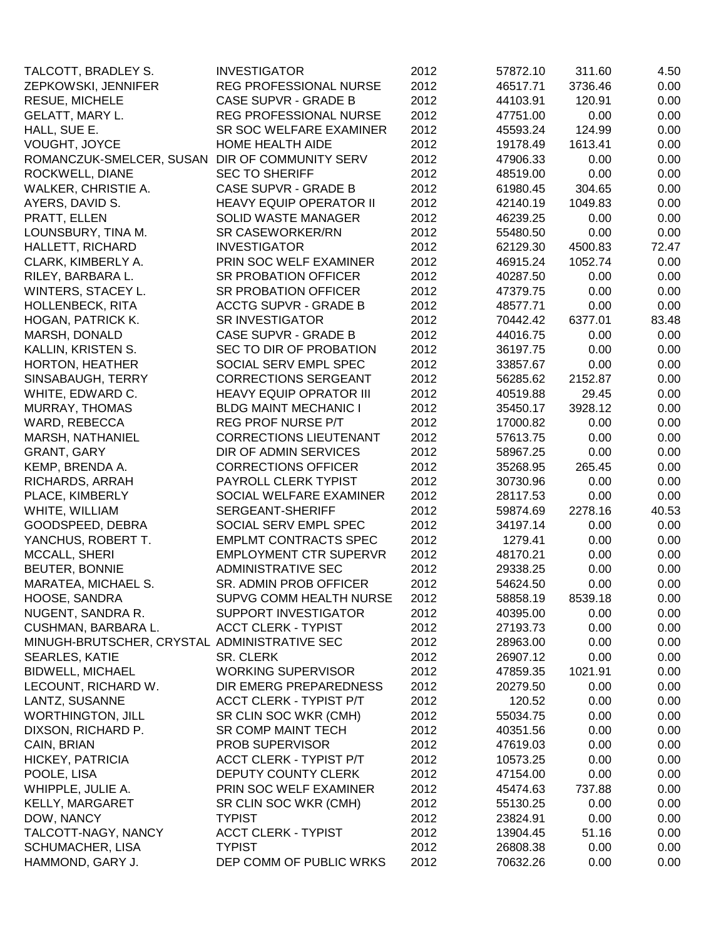| TALCOTT, BRADLEY S.                          | <b>INVESTIGATOR</b>                         | 2012         | 57872.10             | 311.60        | 4.50         |
|----------------------------------------------|---------------------------------------------|--------------|----------------------|---------------|--------------|
| ZEPKOWSKI, JENNIFER                          | REG PROFESSIONAL NURSE                      | 2012         | 46517.71             | 3736.46       | 0.00         |
| <b>RESUE, MICHELE</b>                        | CASE SUPVR - GRADE B                        | 2012         | 44103.91             | 120.91        | 0.00         |
| <b>GELATT, MARY L.</b>                       | REG PROFESSIONAL NURSE                      | 2012         | 47751.00             | 0.00          | 0.00         |
| HALL, SUE E.                                 | SR SOC WELFARE EXAMINER                     | 2012         | 45593.24             | 124.99        | 0.00         |
|                                              |                                             | 2012         | 19178.49             |               |              |
| VOUGHT, JOYCE                                | HOME HEALTH AIDE                            |              |                      | 1613.41       | 0.00         |
| ROMANCZUK-SMELCER, SUSAN                     | DIR OF COMMUNITY SERV                       | 2012         | 47906.33             | 0.00          | 0.00         |
| ROCKWELL, DIANE                              | <b>SEC TO SHERIFF</b>                       | 2012         | 48519.00             | 0.00          | 0.00         |
| WALKER, CHRISTIE A.                          | <b>CASE SUPVR - GRADE B</b>                 | 2012         | 61980.45             | 304.65        | 0.00         |
| AYERS, DAVID S.                              | <b>HEAVY EQUIP OPERATOR II</b>              | 2012         | 42140.19             | 1049.83       | 0.00         |
| PRATT, ELLEN                                 | SOLID WASTE MANAGER                         | 2012         | 46239.25             | 0.00          | 0.00         |
| LOUNSBURY, TINA M.                           | <b>SR CASEWORKER/RN</b>                     | 2012         | 55480.50             | 0.00          | 0.00         |
| HALLETT, RICHARD                             | <b>INVESTIGATOR</b>                         | 2012         | 62129.30             | 4500.83       | 72.47        |
| CLARK, KIMBERLY A.                           | PRIN SOC WELF EXAMINER                      | 2012         | 46915.24             | 1052.74       | 0.00         |
| RILEY, BARBARA L.                            | <b>SR PROBATION OFFICER</b>                 | 2012         | 40287.50             | 0.00          | 0.00         |
| WINTERS, STACEY L.                           | <b>SR PROBATION OFFICER</b>                 | 2012         | 47379.75             | 0.00          | 0.00         |
| <b>HOLLENBECK, RITA</b>                      | <b>ACCTG SUPVR - GRADE B</b>                | 2012         | 48577.71             | 0.00          | 0.00         |
| HOGAN, PATRICK K.                            | <b>SR INVESTIGATOR</b>                      | 2012         | 70442.42             | 6377.01       | 83.48        |
| MARSH, DONALD                                | <b>CASE SUPVR - GRADE B</b>                 | 2012         | 44016.75             | 0.00          | 0.00         |
| KALLIN, KRISTEN S.                           | SEC TO DIR OF PROBATION                     | 2012         | 36197.75             | 0.00          | 0.00         |
| HORTON, HEATHER                              | SOCIAL SERV EMPL SPEC                       | 2012         | 33857.67             | 0.00          | 0.00         |
| SINSABAUGH, TERRY                            | <b>CORRECTIONS SERGEANT</b>                 | 2012         | 56285.62             | 2152.87       | 0.00         |
| WHITE, EDWARD C.                             | <b>HEAVY EQUIP OPRATOR III</b>              | 2012         | 40519.88             | 29.45         | 0.00         |
| MURRAY, THOMAS                               | <b>BLDG MAINT MECHANIC I</b>                | 2012         | 35450.17             | 3928.12       | 0.00         |
| WARD, REBECCA                                | <b>REG PROF NURSE P/T</b>                   | 2012         | 17000.82             | 0.00          | 0.00         |
| MARSH, NATHANIEL                             | <b>CORRECTIONS LIEUTENANT</b>               | 2012         | 57613.75             | 0.00          | 0.00         |
| <b>GRANT, GARY</b>                           | DIR OF ADMIN SERVICES                       | 2012         | 58967.25             | 0.00          | 0.00         |
| KEMP, BRENDA A.                              | <b>CORRECTIONS OFFICER</b>                  | 2012         | 35268.95             | 265.45        | 0.00         |
| RICHARDS, ARRAH                              | PAYROLL CLERK TYPIST                        | 2012         | 30730.96             | 0.00          | 0.00         |
| PLACE, KIMBERLY                              | SOCIAL WELFARE EXAMINER                     | 2012         | 28117.53             | 0.00          | 0.00         |
| WHITE, WILLIAM                               | SERGEANT-SHERIFF                            | 2012         | 59874.69             | 2278.16       | 40.53        |
| GOODSPEED, DEBRA                             | SOCIAL SERV EMPL SPEC                       | 2012         | 34197.14             | 0.00          | 0.00         |
| YANCHUS, ROBERT T.                           | <b>EMPLMT CONTRACTS SPEC</b>                | 2012         | 1279.41              | 0.00          | 0.00         |
| MCCALL, SHERI                                | <b>EMPLOYMENT CTR SUPERVR</b>               | 2012         | 48170.21             | 0.00          | 0.00         |
| <b>BEUTER, BONNIE</b>                        | <b>ADMINISTRATIVE SEC</b>                   | 2012         | 29338.25             | 0.00          | 0.00         |
| MARATEA, MICHAEL S.                          | SR. ADMIN PROB OFFICER                      | 2012         | 54624.50             | 0.00          | 0.00         |
| HOOSE, SANDRA                                | SUPVG COMM HEALTH NURSE                     | 2012         | 58858.19             | 8539.18       | 0.00         |
| NUGENT, SANDRA R.                            | SUPPORT INVESTIGATOR                        | 2012         | 40395.00             | 0.00          | 0.00         |
| CUSHMAN, BARBARA L.                          | <b>ACCT CLERK - TYPIST</b>                  | 2012         | 27193.73             | 0.00          | 0.00         |
| MINUGH-BRUTSCHER, CRYSTAL ADMINISTRATIVE SEC |                                             | 2012         | 28963.00             | 0.00          | 0.00         |
| SEARLES, KATIE                               | <b>SR. CLERK</b>                            | 2012         | 26907.12             | 0.00          | 0.00         |
| <b>BIDWELL, MICHAEL</b>                      | <b>WORKING SUPERVISOR</b>                   | 2012         | 47859.35             | 1021.91       | 0.00         |
| LECOUNT, RICHARD W.                          | DIR EMERG PREPAREDNESS                      | 2012         | 20279.50             | 0.00          | 0.00         |
| LANTZ, SUSANNE                               | <b>ACCT CLERK - TYPIST P/T</b>              | 2012         | 120.52               | 0.00          | 0.00         |
| <b>WORTHINGTON, JILL</b>                     | SR CLIN SOC WKR (CMH)                       | 2012         | 55034.75             | 0.00          | 0.00         |
| DIXSON, RICHARD P.                           | SR COMP MAINT TECH                          | 2012         | 40351.56             | 0.00          | 0.00         |
| CAIN, BRIAN                                  | PROB SUPERVISOR                             | 2012         | 47619.03             | 0.00          | 0.00         |
| HICKEY, PATRICIA                             | <b>ACCT CLERK - TYPIST P/T</b>              | 2012         | 10573.25             | 0.00          | 0.00         |
| POOLE, LISA                                  | DEPUTY COUNTY CLERK                         | 2012         | 47154.00             | 0.00          | 0.00         |
|                                              |                                             |              |                      |               |              |
| WHIPPLE, JULIE A.                            | PRIN SOC WELF EXAMINER                      | 2012         | 45474.63             | 737.88        | 0.00         |
| KELLY, MARGARET                              | SR CLIN SOC WKR (CMH)                       | 2012<br>2012 | 55130.25             | 0.00          | 0.00<br>0.00 |
| DOW, NANCY<br>TALCOTT-NAGY, NANCY            | <b>TYPIST</b><br><b>ACCT CLERK - TYPIST</b> | 2012         | 23824.91<br>13904.45 | 0.00<br>51.16 | 0.00         |
|                                              | <b>TYPIST</b>                               | 2012         |                      | 0.00          | 0.00         |
| <b>SCHUMACHER, LISA</b>                      | DEP COMM OF PUBLIC WRKS                     | 2012         | 26808.38             |               |              |
| HAMMOND, GARY J.                             |                                             |              | 70632.26             | 0.00          | 0.00         |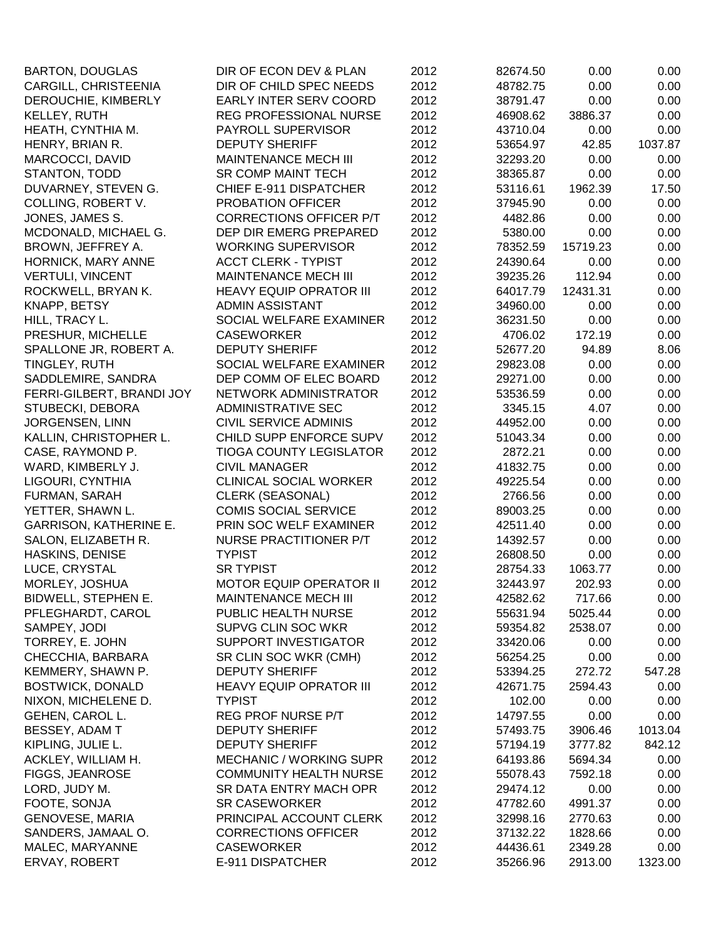| <b>BARTON, DOUGLAS</b>        | DIR OF ECON DEV & PLAN         | 2012 | 82674.50 | 0.00     | 0.00    |
|-------------------------------|--------------------------------|------|----------|----------|---------|
| <b>CARGILL, CHRISTEENIA</b>   | DIR OF CHILD SPEC NEEDS        | 2012 | 48782.75 | 0.00     | 0.00    |
| DEROUCHIE, KIMBERLY           | EARLY INTER SERV COORD         | 2012 | 38791.47 | 0.00     | 0.00    |
| <b>KELLEY, RUTH</b>           | REG PROFESSIONAL NURSE         | 2012 | 46908.62 | 3886.37  | 0.00    |
| HEATH, CYNTHIA M.             | PAYROLL SUPERVISOR             | 2012 | 43710.04 | 0.00     | 0.00    |
| HENRY, BRIAN R.               | <b>DEPUTY SHERIFF</b>          | 2012 | 53654.97 | 42.85    | 1037.87 |
| MARCOCCI, DAVID               | <b>MAINTENANCE MECH III</b>    | 2012 | 32293.20 | 0.00     | 0.00    |
| STANTON, TODD                 | SR COMP MAINT TECH             | 2012 | 38365.87 | 0.00     | 0.00    |
| DUVARNEY, STEVEN G.           | CHIEF E-911 DISPATCHER         | 2012 | 53116.61 | 1962.39  | 17.50   |
| COLLING, ROBERT V.            | PROBATION OFFICER              | 2012 | 37945.90 | 0.00     | 0.00    |
| JONES, JAMES S.               | <b>CORRECTIONS OFFICER P/T</b> | 2012 | 4482.86  | 0.00     | 0.00    |
| MCDONALD, MICHAEL G.          | DEP DIR EMERG PREPARED         | 2012 | 5380.00  | 0.00     | 0.00    |
| BROWN, JEFFREY A.             | <b>WORKING SUPERVISOR</b>      | 2012 | 78352.59 | 15719.23 | 0.00    |
| HORNICK, MARY ANNE            | <b>ACCT CLERK - TYPIST</b>     | 2012 | 24390.64 | 0.00     | 0.00    |
| <b>VERTULI, VINCENT</b>       | <b>MAINTENANCE MECH III</b>    | 2012 | 39235.26 | 112.94   | 0.00    |
| ROCKWELL, BRYAN K.            | <b>HEAVY EQUIP OPRATOR III</b> | 2012 | 64017.79 | 12431.31 | 0.00    |
|                               | <b>ADMIN ASSISTANT</b>         |      |          |          |         |
| KNAPP, BETSY                  |                                | 2012 | 34960.00 | 0.00     | 0.00    |
| HILL, TRACY L.                | SOCIAL WELFARE EXAMINER        | 2012 | 36231.50 | 0.00     | 0.00    |
| PRESHUR, MICHELLE             | <b>CASEWORKER</b>              | 2012 | 4706.02  | 172.19   | 0.00    |
| SPALLONE JR, ROBERT A.        | <b>DEPUTY SHERIFF</b>          | 2012 | 52677.20 | 94.89    | 8.06    |
| TINGLEY, RUTH                 | SOCIAL WELFARE EXAMINER        | 2012 | 29823.08 | 0.00     | 0.00    |
| SADDLEMIRE, SANDRA            | DEP COMM OF ELEC BOARD         | 2012 | 29271.00 | 0.00     | 0.00    |
| FERRI-GILBERT, BRANDI JOY     | NETWORK ADMINISTRATOR          | 2012 | 53536.59 | 0.00     | 0.00    |
| STUBECKI, DEBORA              | <b>ADMINISTRATIVE SEC</b>      | 2012 | 3345.15  | 4.07     | 0.00    |
| JORGENSEN, LINN               | <b>CIVIL SERVICE ADMINIS</b>   | 2012 | 44952.00 | 0.00     | 0.00    |
| KALLIN, CHRISTOPHER L.        | CHILD SUPP ENFORCE SUPV        | 2012 | 51043.34 | 0.00     | 0.00    |
| CASE, RAYMOND P.              | <b>TIOGA COUNTY LEGISLATOR</b> | 2012 | 2872.21  | 0.00     | 0.00    |
| WARD, KIMBERLY J.             | <b>CIVIL MANAGER</b>           | 2012 | 41832.75 | 0.00     | 0.00    |
| LIGOURI, CYNTHIA              | <b>CLINICAL SOCIAL WORKER</b>  | 2012 | 49225.54 | 0.00     | 0.00    |
| FURMAN, SARAH                 | <b>CLERK (SEASONAL)</b>        | 2012 | 2766.56  | 0.00     | 0.00    |
| YETTER, SHAWN L.              | <b>COMIS SOCIAL SERVICE</b>    | 2012 | 89003.25 | 0.00     | 0.00    |
| <b>GARRISON, KATHERINE E.</b> | PRIN SOC WELF EXAMINER         | 2012 | 42511.40 | 0.00     | 0.00    |
| SALON, ELIZABETH R.           | NURSE PRACTITIONER P/T         | 2012 | 14392.57 | 0.00     | 0.00    |
| HASKINS, DENISE               | <b>TYPIST</b>                  | 2012 | 26808.50 | 0.00     | 0.00    |
| LUCE, CRYSTAL                 | <b>SR TYPIST</b>               | 2012 | 28754.33 | 1063.77  | 0.00    |
| MORLEY, JOSHUA                | <b>MOTOR EQUIP OPERATOR II</b> | 2012 | 32443.97 | 202.93   | 0.00    |
| BIDWELL, STEPHEN E.           | <b>MAINTENANCE MECH III</b>    | 2012 | 42582.62 | 717.66   | 0.00    |
| PFLEGHARDT, CAROL             | PUBLIC HEALTH NURSE            | 2012 | 55631.94 | 5025.44  | 0.00    |
| SAMPEY, JODI                  | SUPVG CLIN SOC WKR             | 2012 | 59354.82 | 2538.07  | 0.00    |
| TORREY, E. JOHN               | SUPPORT INVESTIGATOR           | 2012 | 33420.06 | 0.00     | 0.00    |
| CHECCHIA, BARBARA             | SR CLIN SOC WKR (CMH)          | 2012 | 56254.25 | 0.00     | 0.00    |
| KEMMERY, SHAWN P.             | <b>DEPUTY SHERIFF</b>          | 2012 | 53394.25 | 272.72   | 547.28  |
| <b>BOSTWICK, DONALD</b>       | <b>HEAVY EQUIP OPRATOR III</b> | 2012 | 42671.75 | 2594.43  | 0.00    |
| NIXON, MICHELENE D.           | <b>TYPIST</b>                  | 2012 | 102.00   | 0.00     | 0.00    |
| GEHEN, CAROL L.               | <b>REG PROF NURSE P/T</b>      | 2012 | 14797.55 | 0.00     | 0.00    |
| <b>BESSEY, ADAM T</b>         | <b>DEPUTY SHERIFF</b>          | 2012 | 57493.75 | 3906.46  | 1013.04 |
| KIPLING, JULIE L.             | <b>DEPUTY SHERIFF</b>          | 2012 | 57194.19 | 3777.82  | 842.12  |
| ACKLEY, WILLIAM H.            | <b>MECHANIC / WORKING SUPR</b> | 2012 | 64193.86 | 5694.34  | 0.00    |
| FIGGS, JEANROSE               | <b>COMMUNITY HEALTH NURSE</b>  | 2012 | 55078.43 | 7592.18  | 0.00    |
| LORD, JUDY M.                 | SR DATA ENTRY MACH OPR         | 2012 | 29474.12 | 0.00     | 0.00    |
| FOOTE, SONJA                  | <b>SR CASEWORKER</b>           | 2012 | 47782.60 | 4991.37  | 0.00    |
| <b>GENOVESE, MARIA</b>        | PRINCIPAL ACCOUNT CLERK        | 2012 | 32998.16 | 2770.63  | 0.00    |
| SANDERS, JAMAAL O.            | <b>CORRECTIONS OFFICER</b>     | 2012 | 37132.22 | 1828.66  | 0.00    |
|                               |                                |      |          |          |         |
| MALEC, MARYANNE               | <b>CASEWORKER</b>              | 2012 | 44436.61 | 2349.28  | 0.00    |
| ERVAY, ROBERT                 | E-911 DISPATCHER               | 2012 | 35266.96 | 2913.00  | 1323.00 |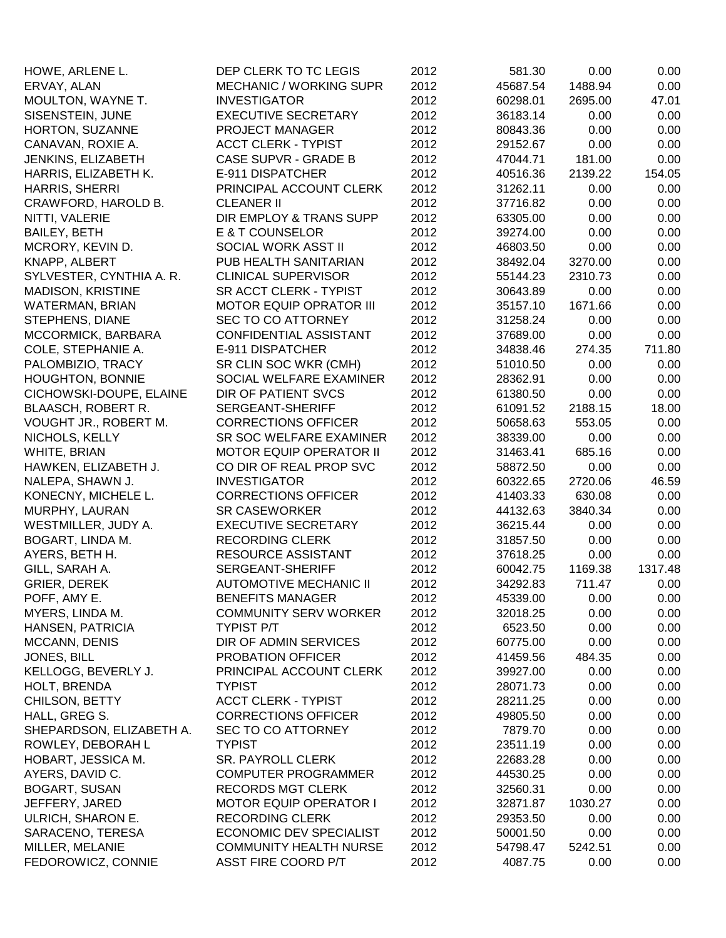| HOWE, ARLENE L.           | DEP CLERK TO TC LEGIS          | 2012 | 581.30   | 0.00    | 0.00    |
|---------------------------|--------------------------------|------|----------|---------|---------|
| ERVAY, ALAN               | <b>MECHANIC / WORKING SUPR</b> | 2012 | 45687.54 | 1488.94 | 0.00    |
| MOULTON, WAYNE T.         | <b>INVESTIGATOR</b>            | 2012 | 60298.01 | 2695.00 | 47.01   |
| SISENSTEIN, JUNE          | <b>EXECUTIVE SECRETARY</b>     | 2012 | 36183.14 | 0.00    | 0.00    |
| HORTON, SUZANNE           | PROJECT MANAGER                | 2012 | 80843.36 | 0.00    | 0.00    |
| CANAVAN, ROXIE A.         | <b>ACCT CLERK - TYPIST</b>     | 2012 | 29152.67 | 0.00    | 0.00    |
|                           |                                | 2012 |          | 181.00  | 0.00    |
| JENKINS, ELIZABETH        | CASE SUPVR - GRADE B           |      | 47044.71 |         |         |
| HARRIS, ELIZABETH K.      | E-911 DISPATCHER               | 2012 | 40516.36 | 2139.22 | 154.05  |
| HARRIS, SHERRI            | PRINCIPAL ACCOUNT CLERK        | 2012 | 31262.11 | 0.00    | 0.00    |
| CRAWFORD, HAROLD B.       | <b>CLEANER II</b>              | 2012 | 37716.82 | 0.00    | 0.00    |
| NITTI, VALERIE            | DIR EMPLOY & TRANS SUPP        | 2012 | 63305.00 | 0.00    | 0.00    |
| <b>BAILEY, BETH</b>       | E & T COUNSELOR                | 2012 | 39274.00 | 0.00    | 0.00    |
| MCRORY, KEVIN D.          | SOCIAL WORK ASST II            | 2012 | 46803.50 | 0.00    | 0.00    |
| KNAPP, ALBERT             | PUB HEALTH SANITARIAN          | 2012 | 38492.04 | 3270.00 | 0.00    |
| SYLVESTER, CYNTHIA A. R.  | <b>CLINICAL SUPERVISOR</b>     | 2012 | 55144.23 | 2310.73 | 0.00    |
| <b>MADISON, KRISTINE</b>  | SR ACCT CLERK - TYPIST         | 2012 | 30643.89 | 0.00    | 0.00    |
| <b>WATERMAN, BRIAN</b>    | <b>MOTOR EQUIP OPRATOR III</b> | 2012 | 35157.10 | 1671.66 | 0.00    |
| STEPHENS, DIANE           | <b>SEC TO CO ATTORNEY</b>      | 2012 | 31258.24 | 0.00    | 0.00    |
| MCCORMICK, BARBARA        | <b>CONFIDENTIAL ASSISTANT</b>  | 2012 | 37689.00 | 0.00    | 0.00    |
| COLE, STEPHANIE A.        | E-911 DISPATCHER               | 2012 | 34838.46 | 274.35  | 711.80  |
| PALOMBIZIO, TRACY         | SR CLIN SOC WKR (CMH)          | 2012 | 51010.50 | 0.00    | 0.00    |
| <b>HOUGHTON, BONNIE</b>   | SOCIAL WELFARE EXAMINER        | 2012 | 28362.91 | 0.00    | 0.00    |
| CICHOWSKI-DOUPE, ELAINE   | DIR OF PATIENT SVCS            | 2012 | 61380.50 | 0.00    | 0.00    |
| <b>BLAASCH, ROBERT R.</b> | SERGEANT-SHERIFF               | 2012 | 61091.52 | 2188.15 | 18.00   |
| VOUGHT JR., ROBERT M.     | <b>CORRECTIONS OFFICER</b>     | 2012 | 50658.63 | 553.05  | 0.00    |
| NICHOLS, KELLY            | SR SOC WELFARE EXAMINER        | 2012 | 38339.00 | 0.00    | 0.00    |
| WHITE, BRIAN              | <b>MOTOR EQUIP OPERATOR II</b> | 2012 | 31463.41 | 685.16  | 0.00    |
| HAWKEN, ELIZABETH J.      | CO DIR OF REAL PROP SVC        | 2012 | 58872.50 | 0.00    | 0.00    |
| NALEPA, SHAWN J.          | <b>INVESTIGATOR</b>            | 2012 | 60322.65 | 2720.06 | 46.59   |
| KONECNY, MICHELE L.       | <b>CORRECTIONS OFFICER</b>     | 2012 | 41403.33 | 630.08  | 0.00    |
| MURPHY, LAURAN            | <b>SR CASEWORKER</b>           | 2012 | 44132.63 | 3840.34 | 0.00    |
| WESTMILLER, JUDY A.       | <b>EXECUTIVE SECRETARY</b>     | 2012 | 36215.44 | 0.00    | 0.00    |
| BOGART, LINDA M.          | <b>RECORDING CLERK</b>         | 2012 | 31857.50 | 0.00    | 0.00    |
| AYERS, BETH H.            | <b>RESOURCE ASSISTANT</b>      | 2012 | 37618.25 | 0.00    | 0.00    |
| GILL, SARAH A.            | SERGEANT-SHERIFF               | 2012 | 60042.75 | 1169.38 | 1317.48 |
| <b>GRIER, DEREK</b>       | <b>AUTOMOTIVE MECHANIC II</b>  | 2012 | 34292.83 | 711.47  | 0.00    |
| POFF, AMY E.              | <b>BENEFITS MANAGER</b>        | 2012 | 45339.00 | 0.00    | 0.00    |
| MYERS, LINDA M.           | <b>COMMUNITY SERV WORKER</b>   | 2012 | 32018.25 | 0.00    | 0.00    |
|                           | <b>TYPIST P/T</b>              |      |          |         |         |
| HANSEN, PATRICIA          |                                | 2012 | 6523.50  | 0.00    | 0.00    |
| MCCANN, DENIS             | DIR OF ADMIN SERVICES          | 2012 | 60775.00 | 0.00    | 0.00    |
| JONES, BILL               | PROBATION OFFICER              | 2012 | 41459.56 | 484.35  | 0.00    |
| KELLOGG, BEVERLY J.       | PRINCIPAL ACCOUNT CLERK        | 2012 | 39927.00 | 0.00    | 0.00    |
| HOLT, BRENDA              | <b>TYPIST</b>                  | 2012 | 28071.73 | 0.00    | 0.00    |
| CHILSON, BETTY            | <b>ACCT CLERK - TYPIST</b>     | 2012 | 28211.25 | 0.00    | 0.00    |
| HALL, GREG S.             | <b>CORRECTIONS OFFICER</b>     | 2012 | 49805.50 | 0.00    | 0.00    |
| SHEPARDSON, ELIZABETH A.  | <b>SEC TO CO ATTORNEY</b>      | 2012 | 7879.70  | 0.00    | 0.00    |
| ROWLEY, DEBORAH L         | <b>TYPIST</b>                  | 2012 | 23511.19 | 0.00    | 0.00    |
| HOBART, JESSICA M.        | <b>SR. PAYROLL CLERK</b>       | 2012 | 22683.28 | 0.00    | 0.00    |
| AYERS, DAVID C.           | <b>COMPUTER PROGRAMMER</b>     | 2012 | 44530.25 | 0.00    | 0.00    |
| <b>BOGART, SUSAN</b>      | <b>RECORDS MGT CLERK</b>       | 2012 | 32560.31 | 0.00    | 0.00    |
| JEFFERY, JARED            | <b>MOTOR EQUIP OPERATOR I</b>  | 2012 | 32871.87 | 1030.27 | 0.00    |
| ULRICH, SHARON E.         | <b>RECORDING CLERK</b>         | 2012 | 29353.50 | 0.00    | 0.00    |
| SARACENO, TERESA          | <b>ECONOMIC DEV SPECIALIST</b> | 2012 | 50001.50 | 0.00    | 0.00    |
| MILLER, MELANIE           | <b>COMMUNITY HEALTH NURSE</b>  | 2012 | 54798.47 | 5242.51 | 0.00    |
| FEDOROWICZ, CONNIE        | ASST FIRE COORD P/T            | 2012 | 4087.75  | 0.00    | 0.00    |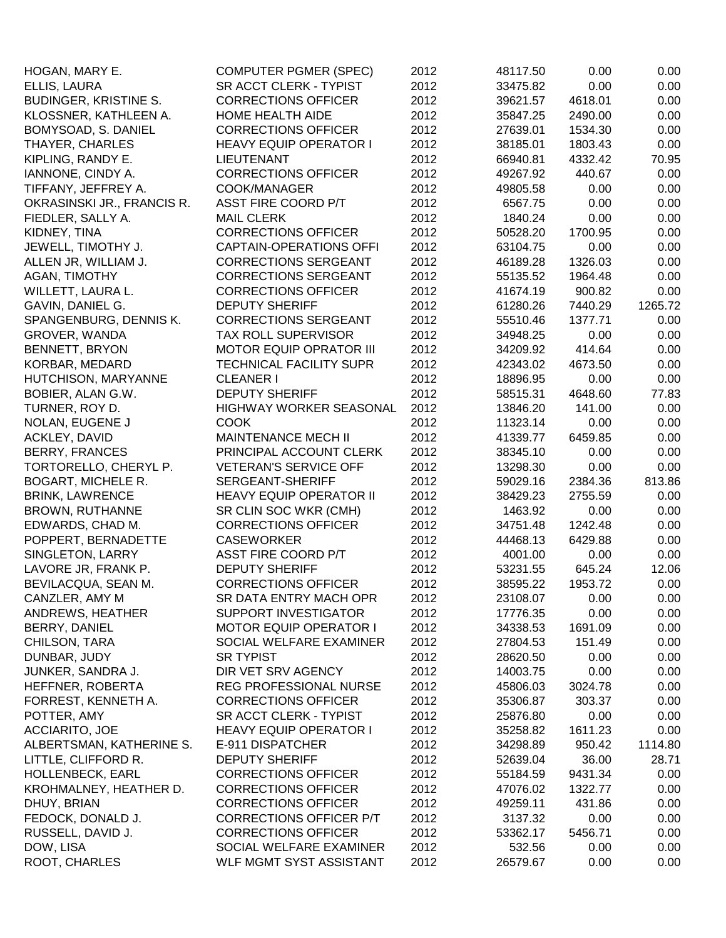| HOGAN, MARY E.             | <b>COMPUTER PGMER (SPEC)</b>   | 2012 | 48117.50 | 0.00    | 0.00    |
|----------------------------|--------------------------------|------|----------|---------|---------|
| ELLIS, LAURA               | SR ACCT CLERK - TYPIST         | 2012 | 33475.82 | 0.00    | 0.00    |
| BUDINGER, KRISTINE S.      | <b>CORRECTIONS OFFICER</b>     | 2012 | 39621.57 | 4618.01 | 0.00    |
| KLOSSNER, KATHLEEN A.      | HOME HEALTH AIDE               | 2012 | 35847.25 | 2490.00 | 0.00    |
| BOMYSOAD, S. DANIEL        | <b>CORRECTIONS OFFICER</b>     | 2012 | 27639.01 | 1534.30 | 0.00    |
| THAYER, CHARLES            | <b>HEAVY EQUIP OPERATOR I</b>  | 2012 | 38185.01 | 1803.43 | 0.00    |
| KIPLING, RANDY E.          | <b>LIEUTENANT</b>              | 2012 | 66940.81 | 4332.42 | 70.95   |
| IANNONE, CINDY A.          | <b>CORRECTIONS OFFICER</b>     | 2012 | 49267.92 | 440.67  | 0.00    |
| TIFFANY, JEFFREY A.        | COOK/MANAGER                   | 2012 | 49805.58 | 0.00    | 0.00    |
| OKRASINSKI JR., FRANCIS R. | ASST FIRE COORD P/T            | 2012 | 6567.75  | 0.00    | 0.00    |
| FIEDLER, SALLY A.          | <b>MAIL CLERK</b>              | 2012 | 1840.24  | 0.00    | 0.00    |
| KIDNEY, TINA               | <b>CORRECTIONS OFFICER</b>     | 2012 | 50528.20 | 1700.95 | 0.00    |
| JEWELL, TIMOTHY J.         | <b>CAPTAIN-OPERATIONS OFFI</b> | 2012 | 63104.75 | 0.00    | 0.00    |
| ALLEN JR, WILLIAM J.       | <b>CORRECTIONS SERGEANT</b>    | 2012 | 46189.28 | 1326.03 | 0.00    |
| AGAN, TIMOTHY              | <b>CORRECTIONS SERGEANT</b>    | 2012 | 55135.52 | 1964.48 | 0.00    |
| WILLETT, LAURA L.          | <b>CORRECTIONS OFFICER</b>     | 2012 | 41674.19 | 900.82  | 0.00    |
| GAVIN, DANIEL G.           | <b>DEPUTY SHERIFF</b>          | 2012 | 61280.26 | 7440.29 | 1265.72 |
| SPANGENBURG, DENNIS K.     | <b>CORRECTIONS SERGEANT</b>    | 2012 | 55510.46 | 1377.71 | 0.00    |
| GROVER, WANDA              | <b>TAX ROLL SUPERVISOR</b>     | 2012 | 34948.25 | 0.00    | 0.00    |
| <b>BENNETT, BRYON</b>      | <b>MOTOR EQUIP OPRATOR III</b> | 2012 | 34209.92 | 414.64  | 0.00    |
| KORBAR, MEDARD             | <b>TECHNICAL FACILITY SUPR</b> | 2012 | 42343.02 | 4673.50 | 0.00    |
| HUTCHISON, MARYANNE        | <b>CLEANER I</b>               | 2012 | 18896.95 | 0.00    | 0.00    |
| BOBIER, ALAN G.W.          | <b>DEPUTY SHERIFF</b>          | 2012 | 58515.31 | 4648.60 | 77.83   |
| TURNER, ROY D.             | HIGHWAY WORKER SEASONAL        | 2012 | 13846.20 | 141.00  | 0.00    |
| NOLAN, EUGENE J            | <b>COOK</b>                    | 2012 | 11323.14 | 0.00    | 0.00    |
|                            | <b>MAINTENANCE MECH II</b>     | 2012 |          |         |         |
| ACKLEY, DAVID              |                                |      | 41339.77 | 6459.85 | 0.00    |
| <b>BERRY, FRANCES</b>      | PRINCIPAL ACCOUNT CLERK        | 2012 | 38345.10 | 0.00    | 0.00    |
| TORTORELLO, CHERYL P.      | VETERAN'S SERVICE OFF          | 2012 | 13298.30 | 0.00    | 0.00    |
| <b>BOGART, MICHELE R.</b>  | SERGEANT-SHERIFF               | 2012 | 59029.16 | 2384.36 | 813.86  |
| <b>BRINK, LAWRENCE</b>     | <b>HEAVY EQUIP OPERATOR II</b> | 2012 | 38429.23 | 2755.59 | 0.00    |
| <b>BROWN, RUTHANNE</b>     | SR CLIN SOC WKR (CMH)          | 2012 | 1463.92  | 0.00    | 0.00    |
| EDWARDS, CHAD M.           | <b>CORRECTIONS OFFICER</b>     | 2012 | 34751.48 | 1242.48 | 0.00    |
| POPPERT, BERNADETTE        | <b>CASEWORKER</b>              | 2012 | 44468.13 | 6429.88 | 0.00    |
| SINGLETON, LARRY           | ASST FIRE COORD P/T            | 2012 | 4001.00  | 0.00    | 0.00    |
| LAVORE JR, FRANK P.        | <b>DEPUTY SHERIFF</b>          | 2012 | 53231.55 | 645.24  | 12.06   |
| BEVILACQUA, SEAN M.        | <b>CORRECTIONS OFFICER</b>     | 2012 | 38595.22 | 1953.72 | 0.00    |
| CANZLER, AMY M             | SR DATA ENTRY MACH OPR         | 2012 | 23108.07 | 0.00    | 0.00    |
| ANDREWS, HEATHER           | <b>SUPPORT INVESTIGATOR</b>    | 2012 | 17776.35 | 0.00    | 0.00    |
| BERRY, DANIEL              | <b>MOTOR EQUIP OPERATOR I</b>  | 2012 | 34338.53 | 1691.09 | 0.00    |
| CHILSON, TARA              | SOCIAL WELFARE EXAMINER        | 2012 | 27804.53 | 151.49  | 0.00    |
| DUNBAR, JUDY               | <b>SR TYPIST</b>               | 2012 | 28620.50 | 0.00    | 0.00    |
| JUNKER, SANDRA J.          | DIR VET SRV AGENCY             | 2012 | 14003.75 | 0.00    | 0.00    |
| HEFFNER, ROBERTA           | REG PROFESSIONAL NURSE         | 2012 | 45806.03 | 3024.78 | 0.00    |
| FORREST, KENNETH A.        | <b>CORRECTIONS OFFICER</b>     | 2012 | 35306.87 | 303.37  | 0.00    |
| POTTER, AMY                | SR ACCT CLERK - TYPIST         | 2012 | 25876.80 | 0.00    | 0.00    |
| <b>ACCIARITO, JOE</b>      | <b>HEAVY EQUIP OPERATOR I</b>  | 2012 | 35258.82 | 1611.23 | 0.00    |
| ALBERTSMAN, KATHERINE S.   | E-911 DISPATCHER               | 2012 | 34298.89 | 950.42  | 1114.80 |
| LITTLE, CLIFFORD R.        | <b>DEPUTY SHERIFF</b>          | 2012 | 52639.04 | 36.00   | 28.71   |
| HOLLENBECK, EARL           | <b>CORRECTIONS OFFICER</b>     | 2012 | 55184.59 | 9431.34 | 0.00    |
| KROHMALNEY, HEATHER D.     | <b>CORRECTIONS OFFICER</b>     | 2012 | 47076.02 | 1322.77 | 0.00    |
| DHUY, BRIAN                | <b>CORRECTIONS OFFICER</b>     | 2012 | 49259.11 | 431.86  | 0.00    |
| FEDOCK, DONALD J.          | <b>CORRECTIONS OFFICER P/T</b> | 2012 | 3137.32  | 0.00    | 0.00    |
| RUSSELL, DAVID J.          | <b>CORRECTIONS OFFICER</b>     | 2012 | 53362.17 | 5456.71 | 0.00    |
| DOW, LISA                  | SOCIAL WELFARE EXAMINER        | 2012 | 532.56   | 0.00    | 0.00    |
| ROOT, CHARLES              | WLF MGMT SYST ASSISTANT        | 2012 | 26579.67 | 0.00    | 0.00    |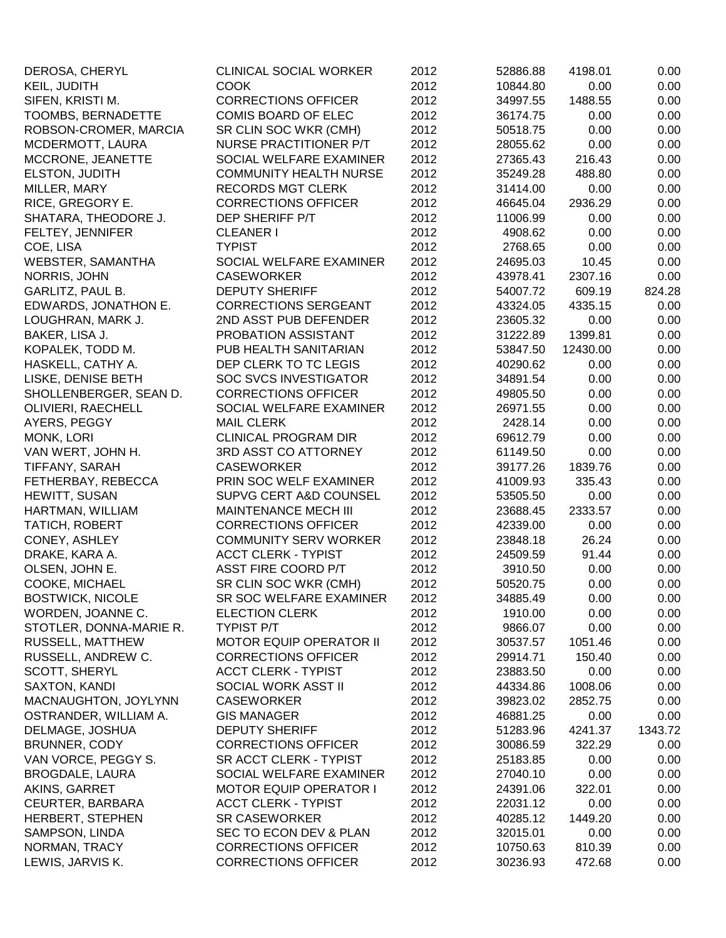| DEROSA, CHERYL          | <b>CLINICAL SOCIAL WORKER</b>                             | 2012 | 52886.88 | 4198.01  | 0.00    |
|-------------------------|-----------------------------------------------------------|------|----------|----------|---------|
| KEIL, JUDITH            | <b>COOK</b>                                               | 2012 | 10844.80 | 0.00     | 0.00    |
| SIFEN, KRISTI M.        | <b>CORRECTIONS OFFICER</b>                                | 2012 | 34997.55 | 1488.55  | 0.00    |
| TOOMBS, BERNADETTE      | COMIS BOARD OF ELEC                                       | 2012 | 36174.75 | 0.00     | 0.00    |
| ROBSON-CROMER, MARCIA   | SR CLIN SOC WKR (CMH)                                     | 2012 | 50518.75 | 0.00     | 0.00    |
| MCDERMOTT, LAURA        | <b>NURSE PRACTITIONER P/T</b>                             | 2012 | 28055.62 | 0.00     | 0.00    |
| MCCRONE, JEANETTE       | SOCIAL WELFARE EXAMINER                                   | 2012 | 27365.43 | 216.43   | 0.00    |
| ELSTON, JUDITH          | <b>COMMUNITY HEALTH NURSE</b>                             | 2012 | 35249.28 | 488.80   | 0.00    |
| MILLER, MARY            | <b>RECORDS MGT CLERK</b>                                  | 2012 | 31414.00 | 0.00     | 0.00    |
| RICE, GREGORY E.        | <b>CORRECTIONS OFFICER</b>                                | 2012 | 46645.04 | 2936.29  | 0.00    |
| SHATARA, THEODORE J.    | DEP SHERIFF P/T                                           | 2012 | 11006.99 | 0.00     | 0.00    |
| FELTEY, JENNIFER        | <b>CLEANER I</b>                                          | 2012 | 4908.62  | 0.00     | 0.00    |
| COE, LISA               | <b>TYPIST</b>                                             | 2012 | 2768.65  | 0.00     | 0.00    |
| WEBSTER, SAMANTHA       | SOCIAL WELFARE EXAMINER                                   | 2012 | 24695.03 | 10.45    | 0.00    |
| NORRIS, JOHN            | <b>CASEWORKER</b>                                         | 2012 | 43978.41 | 2307.16  | 0.00    |
| GARLITZ, PAUL B.        | <b>DEPUTY SHERIFF</b>                                     | 2012 | 54007.72 | 609.19   | 824.28  |
| EDWARDS, JONATHON E.    | <b>CORRECTIONS SERGEANT</b>                               | 2012 | 43324.05 | 4335.15  | 0.00    |
| LOUGHRAN, MARK J.       | 2ND ASST PUB DEFENDER                                     | 2012 | 23605.32 | 0.00     | 0.00    |
| BAKER, LISA J.          | PROBATION ASSISTANT                                       | 2012 | 31222.89 | 1399.81  | 0.00    |
| KOPALEK, TODD M.        | PUB HEALTH SANITARIAN                                     | 2012 | 53847.50 | 12430.00 | 0.00    |
| HASKELL, CATHY A.       | DEP CLERK TO TC LEGIS                                     | 2012 | 40290.62 | 0.00     | 0.00    |
| LISKE, DENISE BETH      | <b>SOC SVCS INVESTIGATOR</b>                              | 2012 | 34891.54 | 0.00     | 0.00    |
| SHOLLENBERGER, SEAN D.  | <b>CORRECTIONS OFFICER</b>                                | 2012 | 49805.50 | 0.00     | 0.00    |
| OLIVIERI, RAECHELL      | SOCIAL WELFARE EXAMINER                                   | 2012 | 26971.55 | 0.00     | 0.00    |
| AYERS, PEGGY            | <b>MAIL CLERK</b>                                         | 2012 | 2428.14  | 0.00     | 0.00    |
| <b>MONK, LORI</b>       | <b>CLINICAL PROGRAM DIR</b>                               | 2012 | 69612.79 | 0.00     | 0.00    |
|                         |                                                           | 2012 |          | 0.00     | 0.00    |
| VAN WERT, JOHN H.       | 3RD ASST CO ATTORNEY                                      | 2012 | 61149.50 | 1839.76  | 0.00    |
| TIFFANY, SARAH          | <b>CASEWORKER</b><br>PRIN SOC WELF EXAMINER               | 2012 | 39177.26 | 335.43   |         |
| FETHERBAY, REBECCA      |                                                           | 2012 | 41009.93 |          | 0.00    |
| HEWITT, SUSAN           | SUPVG CERT A&D COUNSEL                                    |      | 53505.50 | 0.00     | 0.00    |
| HARTMAN, WILLIAM        | <b>MAINTENANCE MECH III</b><br><b>CORRECTIONS OFFICER</b> | 2012 | 23688.45 | 2333.57  | 0.00    |
| <b>TATICH, ROBERT</b>   |                                                           | 2012 | 42339.00 | 0.00     | 0.00    |
| CONEY, ASHLEY           | <b>COMMUNITY SERV WORKER</b>                              | 2012 | 23848.18 | 26.24    | 0.00    |
| DRAKE, KARA A.          | <b>ACCT CLERK - TYPIST</b>                                | 2012 | 24509.59 | 91.44    | 0.00    |
| OLSEN, JOHN E.          | ASST FIRE COORD P/T                                       | 2012 | 3910.50  | 0.00     | 0.00    |
| COOKE, MICHAEL          | SR CLIN SOC WKR (CMH)                                     | 2012 | 50520.75 | 0.00     | 0.00    |
| <b>BOSTWICK, NICOLE</b> | SR SOC WELFARE EXAMINER                                   | 2012 | 34885.49 | 0.00     | 0.00    |
| WORDEN, JOANNE C.       | <b>ELECTION CLERK</b>                                     | 2012 | 1910.00  | 0.00     | 0.00    |
| STOTLER, DONNA-MARIE R. | <b>TYPIST P/T</b>                                         | 2012 | 9866.07  | 0.00     | 0.00    |
| RUSSELL, MATTHEW        | <b>MOTOR EQUIP OPERATOR II</b>                            | 2012 | 30537.57 | 1051.46  | 0.00    |
| RUSSELL, ANDREW C.      | <b>CORRECTIONS OFFICER</b>                                | 2012 | 29914.71 | 150.40   | 0.00    |
| SCOTT, SHERYL           | <b>ACCT CLERK - TYPIST</b>                                | 2012 | 23883.50 | 0.00     | 0.00    |
| SAXTON, KANDI           | SOCIAL WORK ASST II                                       | 2012 | 44334.86 | 1008.06  | 0.00    |
| MACNAUGHTON, JOYLYNN    | <b>CASEWORKER</b>                                         | 2012 | 39823.02 | 2852.75  | 0.00    |
| OSTRANDER, WILLIAM A.   | <b>GIS MANAGER</b>                                        | 2012 | 46881.25 | 0.00     | 0.00    |
| DELMAGE, JOSHUA         | <b>DEPUTY SHERIFF</b>                                     | 2012 | 51283.96 | 4241.37  | 1343.72 |
| <b>BRUNNER, CODY</b>    | <b>CORRECTIONS OFFICER</b>                                | 2012 | 30086.59 | 322.29   | 0.00    |
| VAN VORCE, PEGGY S.     | SR ACCT CLERK - TYPIST                                    | 2012 | 25183.85 | 0.00     | 0.00    |
| <b>BROGDALE, LAURA</b>  | SOCIAL WELFARE EXAMINER                                   | 2012 | 27040.10 | 0.00     | 0.00    |
| AKINS, GARRET           | <b>MOTOR EQUIP OPERATOR I</b>                             | 2012 | 24391.06 | 322.01   | 0.00    |
| CEURTER, BARBARA        | <b>ACCT CLERK - TYPIST</b>                                | 2012 | 22031.12 | 0.00     | 0.00    |
| HERBERT, STEPHEN        | <b>SR CASEWORKER</b>                                      | 2012 | 40285.12 | 1449.20  | 0.00    |
| SAMPSON, LINDA          | SEC TO ECON DEV & PLAN                                    | 2012 | 32015.01 | 0.00     | 0.00    |
| NORMAN, TRACY           | <b>CORRECTIONS OFFICER</b>                                | 2012 | 10750.63 | 810.39   | 0.00    |
| LEWIS, JARVIS K.        | <b>CORRECTIONS OFFICER</b>                                | 2012 | 30236.93 | 472.68   | 0.00    |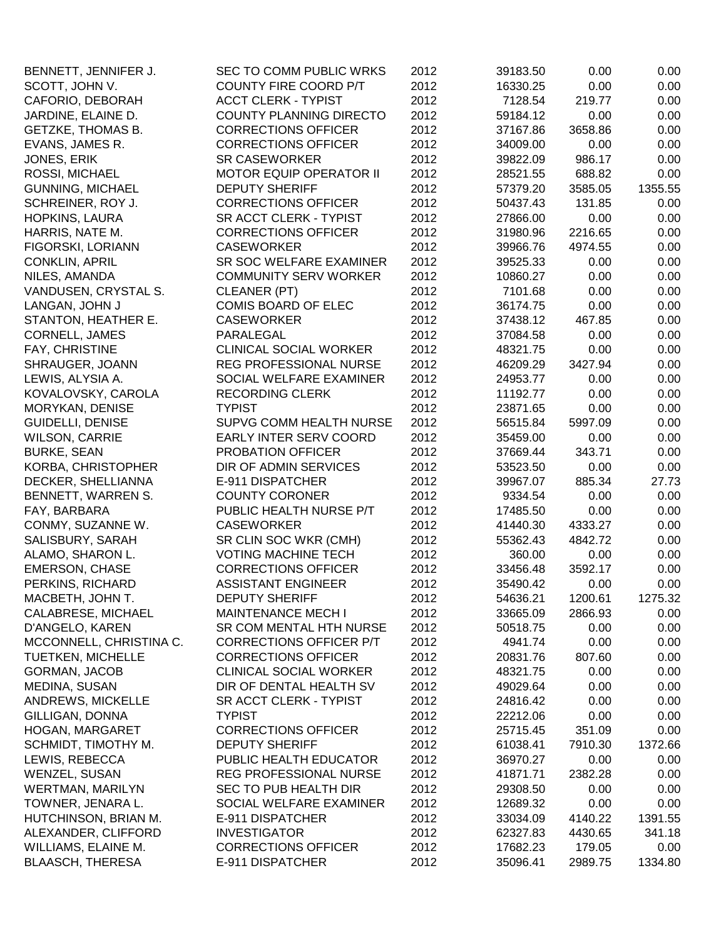| BENNETT, JENNIFER J.                | SEC TO COMM PUBLIC WRKS        | 2012 | 39183.50             | 0.00    | 0.00    |
|-------------------------------------|--------------------------------|------|----------------------|---------|---------|
| SCOTT, JOHN V.                      | COUNTY FIRE COORD P/T          | 2012 | 16330.25             | 0.00    | 0.00    |
| CAFORIO, DEBORAH                    | <b>ACCT CLERK - TYPIST</b>     | 2012 | 7128.54              | 219.77  | 0.00    |
| JARDINE, ELAINE D.                  | <b>COUNTY PLANNING DIRECTO</b> | 2012 | 59184.12             | 0.00    | 0.00    |
| <b>GETZKE, THOMAS B.</b>            | <b>CORRECTIONS OFFICER</b>     | 2012 | 37167.86             | 3658.86 | 0.00    |
| EVANS, JAMES R.                     | <b>CORRECTIONS OFFICER</b>     | 2012 | 34009.00             | 0.00    | 0.00    |
| JONES, ERIK                         | <b>SR CASEWORKER</b>           | 2012 | 39822.09             | 986.17  | 0.00    |
| ROSSI, MICHAEL                      | <b>MOTOR EQUIP OPERATOR II</b> | 2012 | 28521.55             | 688.82  | 0.00    |
| <b>GUNNING, MICHAEL</b>             | <b>DEPUTY SHERIFF</b>          | 2012 | 57379.20             | 3585.05 | 1355.55 |
| SCHREINER, ROY J.                   | <b>CORRECTIONS OFFICER</b>     | 2012 | 50437.43             | 131.85  | 0.00    |
| <b>HOPKINS, LAURA</b>               | SR ACCT CLERK - TYPIST         | 2012 | 27866.00             | 0.00    | 0.00    |
| HARRIS, NATE M.                     | <b>CORRECTIONS OFFICER</b>     | 2012 | 31980.96             | 2216.65 | 0.00    |
| FIGORSKI, LORIANN                   | <b>CASEWORKER</b>              | 2012 | 39966.76             | 4974.55 | 0.00    |
| <b>CONKLIN, APRIL</b>               | SR SOC WELFARE EXAMINER        | 2012 | 39525.33             | 0.00    | 0.00    |
| NILES, AMANDA                       | <b>COMMUNITY SERV WORKER</b>   | 2012 | 10860.27             | 0.00    | 0.00    |
| VANDUSEN, CRYSTAL S.                | CLEANER (PT)                   | 2012 | 7101.68              | 0.00    | 0.00    |
| LANGAN, JOHN J                      | <b>COMIS BOARD OF ELEC</b>     | 2012 | 36174.75             | 0.00    | 0.00    |
| STANTON, HEATHER E.                 | <b>CASEWORKER</b>              | 2012 | 37438.12             | 467.85  | 0.00    |
| <b>CORNELL, JAMES</b>               | PARALEGAL                      | 2012 | 37084.58             | 0.00    | 0.00    |
| FAY, CHRISTINE                      | <b>CLINICAL SOCIAL WORKER</b>  | 2012 | 48321.75             | 0.00    | 0.00    |
|                                     | REG PROFESSIONAL NURSE         | 2012 | 46209.29             | 3427.94 | 0.00    |
| SHRAUGER, JOANN<br>LEWIS, ALYSIA A. | SOCIAL WELFARE EXAMINER        | 2012 |                      | 0.00    | 0.00    |
|                                     | <b>RECORDING CLERK</b>         | 2012 | 24953.77<br>11192.77 | 0.00    | 0.00    |
| KOVALOVSKY, CAROLA                  |                                | 2012 | 23871.65             | 0.00    | 0.00    |
| MORYKAN, DENISE                     | <b>TYPIST</b>                  |      |                      |         |         |
| GUIDELLI, DENISE                    | SUPVG COMM HEALTH NURSE        | 2012 | 56515.84             | 5997.09 | 0.00    |
| <b>WILSON, CARRIE</b>               | EARLY INTER SERV COORD         | 2012 | 35459.00             | 0.00    | 0.00    |
| <b>BURKE, SEAN</b>                  | PROBATION OFFICER              | 2012 | 37669.44             | 343.71  | 0.00    |
| KORBA, CHRISTOPHER                  | DIR OF ADMIN SERVICES          | 2012 | 53523.50             | 0.00    | 0.00    |
| DECKER, SHELLIANNA                  | E-911 DISPATCHER               | 2012 | 39967.07             | 885.34  | 27.73   |
| BENNETT, WARREN S.                  | <b>COUNTY CORONER</b>          | 2012 | 9334.54              | 0.00    | 0.00    |
| FAY, BARBARA                        | PUBLIC HEALTH NURSE P/T        | 2012 | 17485.50             | 0.00    | 0.00    |
| CONMY, SUZANNE W.                   | <b>CASEWORKER</b>              | 2012 | 41440.30             | 4333.27 | 0.00    |
| SALISBURY, SARAH                    | SR CLIN SOC WKR (CMH)          | 2012 | 55362.43             | 4842.72 | 0.00    |
| ALAMO, SHARON L.                    | <b>VOTING MACHINE TECH</b>     | 2012 | 360.00               | 0.00    | 0.00    |
| EMERSON, CHASE                      | <b>CORRECTIONS OFFICER</b>     | 2012 | 33456.48             | 3592.17 | 0.00    |
| PERKINS, RICHARD                    | <b>ASSISTANT ENGINEER</b>      | 2012 | 35490.42             | 0.00    | 0.00    |
| MACBETH, JOHN T.                    | <b>DEPUTY SHERIFF</b>          | 2012 | 54636.21             | 1200.61 | 1275.32 |
| CALABRESE, MICHAEL                  | <b>MAINTENANCE MECH I</b>      | 2012 | 33665.09             | 2866.93 | 0.00    |
| D'ANGELO, KAREN                     | SR COM MENTAL HTH NURSE        | 2012 | 50518.75             | 0.00    | 0.00    |
| MCCONNELL, CHRISTINA C.             | CORRECTIONS OFFICER P/T        | 2012 | 4941.74              | 0.00    | 0.00    |
| TUETKEN, MICHELLE                   | <b>CORRECTIONS OFFICER</b>     | 2012 | 20831.76             | 807.60  | 0.00    |
| <b>GORMAN, JACOB</b>                | <b>CLINICAL SOCIAL WORKER</b>  | 2012 | 48321.75             | 0.00    | 0.00    |
| MEDINA, SUSAN                       | DIR OF DENTAL HEALTH SV        | 2012 | 49029.64             | 0.00    | 0.00    |
| ANDREWS, MICKELLE                   | SR ACCT CLERK - TYPIST         | 2012 | 24816.42             | 0.00    | 0.00    |
| GILLIGAN, DONNA                     | <b>TYPIST</b>                  | 2012 | 22212.06             | 0.00    | 0.00    |
| HOGAN, MARGARET                     | <b>CORRECTIONS OFFICER</b>     | 2012 | 25715.45             | 351.09  | 0.00    |
| SCHMIDT, TIMOTHY M.                 | <b>DEPUTY SHERIFF</b>          | 2012 | 61038.41             | 7910.30 | 1372.66 |
| LEWIS, REBECCA                      | PUBLIC HEALTH EDUCATOR         | 2012 | 36970.27             | 0.00    | 0.00    |
| <b>WENZEL, SUSAN</b>                | REG PROFESSIONAL NURSE         | 2012 | 41871.71             | 2382.28 | 0.00    |
| <b>WERTMAN, MARILYN</b>             | SEC TO PUB HEALTH DIR          | 2012 | 29308.50             | 0.00    | 0.00    |
| TOWNER, JENARA L.                   | SOCIAL WELFARE EXAMINER        | 2012 | 12689.32             | 0.00    | 0.00    |
| HUTCHINSON, BRIAN M.                | E-911 DISPATCHER               | 2012 | 33034.09             | 4140.22 | 1391.55 |
| ALEXANDER, CLIFFORD                 | <b>INVESTIGATOR</b>            | 2012 | 62327.83             | 4430.65 | 341.18  |
| WILLIAMS, ELAINE M.                 | <b>CORRECTIONS OFFICER</b>     | 2012 | 17682.23             | 179.05  | 0.00    |
| <b>BLAASCH, THERESA</b>             | E-911 DISPATCHER               | 2012 | 35096.41             | 2989.75 | 1334.80 |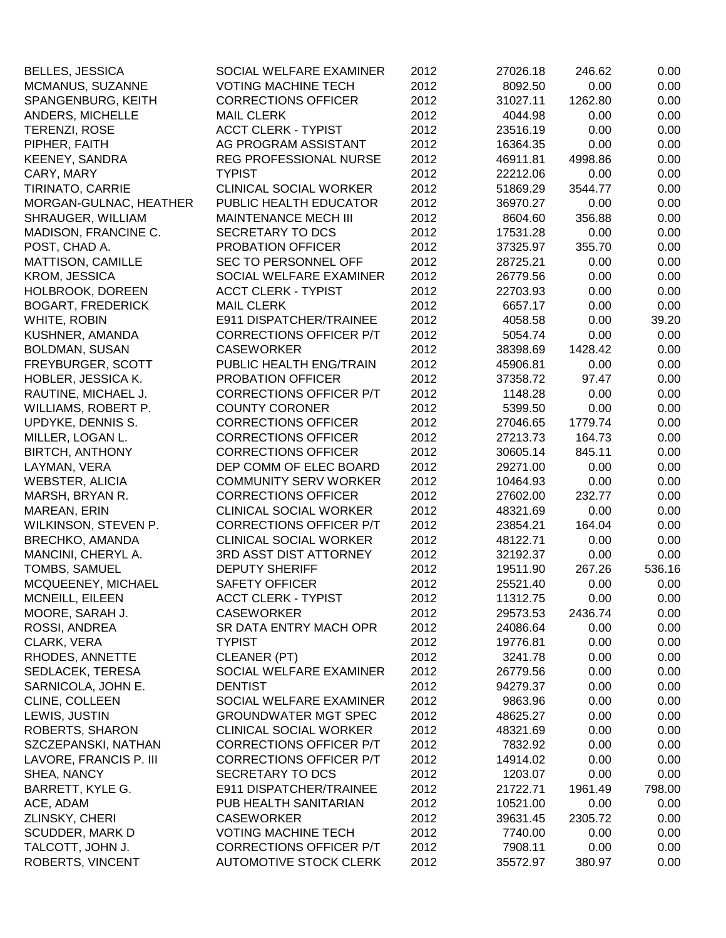| <b>BELLES, JESSICA</b>   | SOCIAL WELFARE EXAMINER        | 2012 | 27026.18            | 246.62  | 0.00   |
|--------------------------|--------------------------------|------|---------------------|---------|--------|
| MCMANUS, SUZANNE         | <b>VOTING MACHINE TECH</b>     | 2012 | 8092.50             | 0.00    | 0.00   |
| SPANGENBURG, KEITH       | <b>CORRECTIONS OFFICER</b>     | 2012 | 31027.11            | 1262.80 | 0.00   |
| ANDERS, MICHELLE         | <b>MAIL CLERK</b>              | 2012 | 4044.98             | 0.00    | 0.00   |
| <b>TERENZI, ROSE</b>     | <b>ACCT CLERK - TYPIST</b>     | 2012 | 23516.19            | 0.00    | 0.00   |
| PIPHER, FAITH            | AG PROGRAM ASSISTANT           | 2012 | 16364.35            | 0.00    | 0.00   |
| <b>KEENEY, SANDRA</b>    | REG PROFESSIONAL NURSE         | 2012 | 46911.81            | 4998.86 | 0.00   |
| CARY, MARY               | <b>TYPIST</b>                  | 2012 | 22212.06            | 0.00    | 0.00   |
| TIRINATO, CARRIE         | <b>CLINICAL SOCIAL WORKER</b>  | 2012 | 51869.29            | 3544.77 | 0.00   |
| MORGAN-GULNAC, HEATHER   | PUBLIC HEALTH EDUCATOR         | 2012 | 36970.27            | 0.00    | 0.00   |
| SHRAUGER, WILLIAM        | MAINTENANCE MECH III           | 2012 | 8604.60             | 356.88  | 0.00   |
| MADISON, FRANCINE C.     | SECRETARY TO DCS               | 2012 | 17531.28            | 0.00    | 0.00   |
| POST, CHAD A.            | PROBATION OFFICER              | 2012 | 37325.97            | 355.70  | 0.00   |
| <b>MATTISON, CAMILLE</b> | SEC TO PERSONNEL OFF           | 2012 | 28725.21            | 0.00    | 0.00   |
| KROM, JESSICA            | SOCIAL WELFARE EXAMINER        | 2012 | 26779.56            | 0.00    | 0.00   |
| HOLBROOK, DOREEN         | <b>ACCT CLERK - TYPIST</b>     | 2012 | 22703.93            | 0.00    | 0.00   |
| <b>BOGART, FREDERICK</b> | <b>MAIL CLERK</b>              | 2012 | 6657.17             | 0.00    | 0.00   |
| WHITE, ROBIN             | E911 DISPATCHER/TRAINEE        | 2012 | 4058.58             | 0.00    | 39.20  |
| KUSHNER, AMANDA          | <b>CORRECTIONS OFFICER P/T</b> | 2012 | 5054.74             | 0.00    | 0.00   |
| <b>BOLDMAN, SUSAN</b>    | <b>CASEWORKER</b>              | 2012 | 38398.69            | 1428.42 | 0.00   |
|                          | PUBLIC HEALTH ENG/TRAIN        | 2012 | 45906.81            | 0.00    | 0.00   |
| FREYBURGER, SCOTT        | PROBATION OFFICER              | 2012 |                     | 97.47   | 0.00   |
| HOBLER, JESSICA K.       | <b>CORRECTIONS OFFICER P/T</b> | 2012 | 37358.72<br>1148.28 | 0.00    | 0.00   |
| RAUTINE, MICHAEL J.      | <b>COUNTY CORONER</b>          | 2012 |                     | 0.00    | 0.00   |
| WILLIAMS, ROBERT P.      |                                |      | 5399.50             |         |        |
| UPDYKE, DENNIS S.        | <b>CORRECTIONS OFFICER</b>     | 2012 | 27046.65            | 1779.74 | 0.00   |
| MILLER, LOGAN L.         | <b>CORRECTIONS OFFICER</b>     | 2012 | 27213.73            | 164.73  | 0.00   |
| <b>BIRTCH, ANTHONY</b>   | <b>CORRECTIONS OFFICER</b>     | 2012 | 30605.14            | 845.11  | 0.00   |
| LAYMAN, VERA             | DEP COMM OF ELEC BOARD         | 2012 | 29271.00            | 0.00    | 0.00   |
| <b>WEBSTER, ALICIA</b>   | <b>COMMUNITY SERV WORKER</b>   | 2012 | 10464.93            | 0.00    | 0.00   |
| MARSH, BRYAN R.          | <b>CORRECTIONS OFFICER</b>     | 2012 | 27602.00            | 232.77  | 0.00   |
| MAREAN, ERIN             | <b>CLINICAL SOCIAL WORKER</b>  | 2012 | 48321.69            | 0.00    | 0.00   |
| WILKINSON, STEVEN P.     | CORRECTIONS OFFICER P/T        | 2012 | 23854.21            | 164.04  | 0.00   |
| <b>BRECHKO, AMANDA</b>   | CLINICAL SOCIAL WORKER         | 2012 | 48122.71            | 0.00    | 0.00   |
| MANCINI, CHERYL A.       | 3RD ASST DIST ATTORNEY         | 2012 | 32192.37            | 0.00    | 0.00   |
| TOMBS, SAMUEL            | <b>DEPUTY SHERIFF</b>          | 2012 | 19511.90            | 267.26  | 536.16 |
| MCQUEENEY, MICHAEL       | <b>SAFETY OFFICER</b>          | 2012 | 25521.40            | 0.00    | 0.00   |
| MCNEILL, EILEEN          | <b>ACCT CLERK - TYPIST</b>     | 2012 | 11312.75            | 0.00    | 0.00   |
| MOORE, SARAH J.          | <b>CASEWORKER</b>              | 2012 | 29573.53            | 2436.74 | 0.00   |
| ROSSI, ANDREA            | SR DATA ENTRY MACH OPR         | 2012 | 24086.64            | 0.00    | 0.00   |
| CLARK, VERA              | <b>TYPIST</b>                  | 2012 | 19776.81            | 0.00    | 0.00   |
| RHODES, ANNETTE          | CLEANER (PT)                   | 2012 | 3241.78             | 0.00    | 0.00   |
| SEDLACEK, TERESA         | SOCIAL WELFARE EXAMINER        | 2012 | 26779.56            | 0.00    | 0.00   |
| SARNICOLA, JOHN E.       | <b>DENTIST</b>                 | 2012 | 94279.37            | 0.00    | 0.00   |
| CLINE, COLLEEN           | SOCIAL WELFARE EXAMINER        | 2012 | 9863.96             | 0.00    | 0.00   |
| LEWIS, JUSTIN            | <b>GROUNDWATER MGT SPEC</b>    | 2012 | 48625.27            | 0.00    | 0.00   |
| <b>ROBERTS, SHARON</b>   | <b>CLINICAL SOCIAL WORKER</b>  | 2012 | 48321.69            | 0.00    | 0.00   |
| SZCZEPANSKI, NATHAN      | CORRECTIONS OFFICER P/T        | 2012 | 7832.92             | 0.00    | 0.00   |
| LAVORE, FRANCIS P. III   | <b>CORRECTIONS OFFICER P/T</b> | 2012 | 14914.02            | 0.00    | 0.00   |
| SHEA, NANCY              | SECRETARY TO DCS               | 2012 | 1203.07             | 0.00    | 0.00   |
| BARRETT, KYLE G.         | E911 DISPATCHER/TRAINEE        | 2012 | 21722.71            | 1961.49 | 798.00 |
| ACE, ADAM                | PUB HEALTH SANITARIAN          | 2012 | 10521.00            | 0.00    | 0.00   |
| ZLINSKY, CHERI           | <b>CASEWORKER</b>              | 2012 | 39631.45            | 2305.72 | 0.00   |
| <b>SCUDDER, MARK D</b>   | <b>VOTING MACHINE TECH</b>     | 2012 | 7740.00             | 0.00    | 0.00   |
| TALCOTT, JOHN J.         | CORRECTIONS OFFICER P/T        | 2012 | 7908.11             | 0.00    | 0.00   |
| <b>ROBERTS, VINCENT</b>  | <b>AUTOMOTIVE STOCK CLERK</b>  | 2012 | 35572.97            | 380.97  | 0.00   |